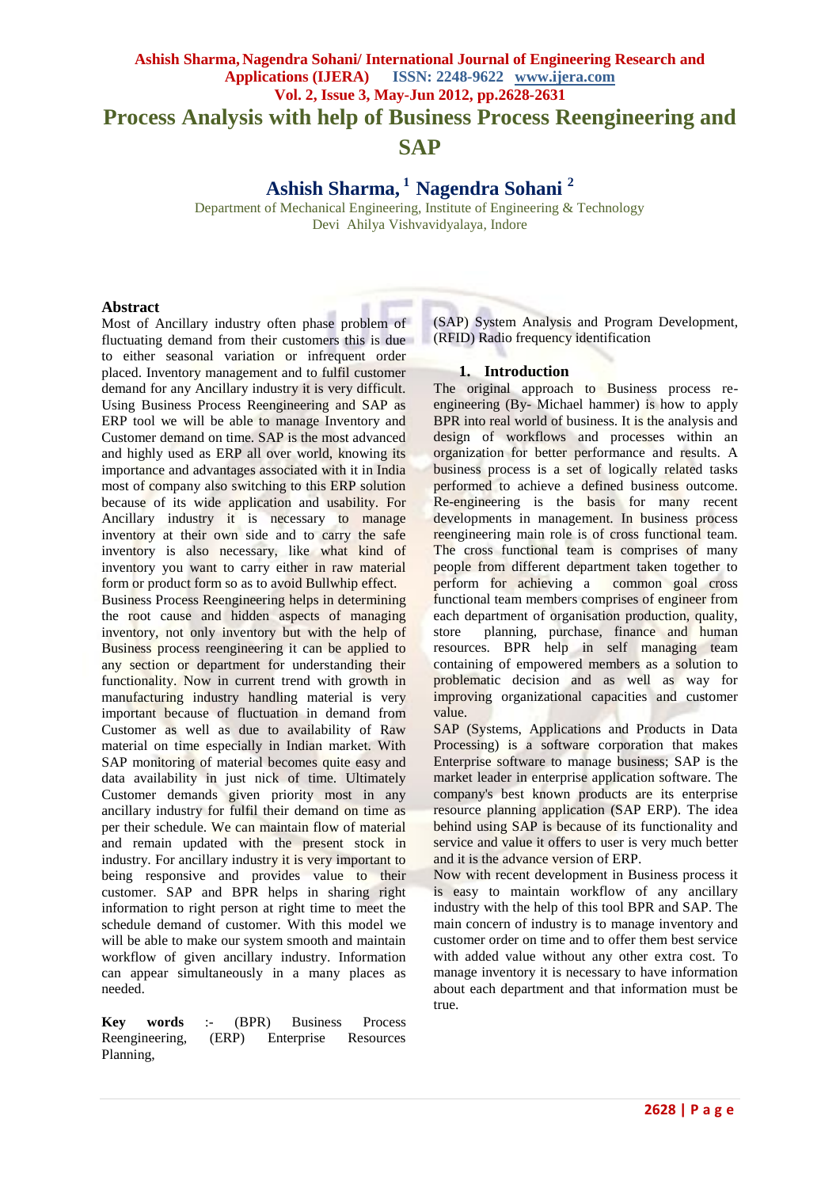# **Ashish Sharma, Nagendra Sohani/ International Journal of Engineering Research and Applications (IJERA) ISSN: 2248-9622 www.ijera.com Vol. 2, Issue 3, May-Jun 2012, pp.2628-2631 Process Analysis with help of Business Process Reengineering and SAP**

**Ashish Sharma, <sup>1</sup>Nagendra Sohani <sup>2</sup>**

Department of Mechanical Engineering, Institute of Engineering & Technology Devi Ahilya Vishvavidyalaya, Indore

# **Abstract**

Most of Ancillary industry often phase problem of fluctuating demand from their customers this is due to either seasonal variation or infrequent order placed. Inventory management and to fulfil customer demand for any Ancillary industry it is very difficult. Using Business Process Reengineering and SAP as ERP tool we will be able to manage Inventory and Customer demand on time. SAP is the most advanced and highly used as ERP all over world, knowing its importance and advantages associated with it in India most of company also switching to this ERP solution because of its wide application and usability. For Ancillary industry it is necessary to manage inventory at their own side and to carry the safe inventory is also necessary, like what kind of inventory you want to carry either in raw material form or product form so as to avoid Bullwhip effect. Business Process Reengineering helps in determining the root cause and hidden aspects of managing inventory, not only inventory but with the help of Business process reengineering it can be applied to any section or department for understanding their functionality. Now in current trend with growth in manufacturing industry handling material is very important because of fluctuation in demand from Customer as well as due to availability of Raw material on time especially in Indian market. With SAP monitoring of material becomes quite easy and data availability in just nick of time. Ultimately Customer demands given priority most in any ancillary industry for fulfil their demand on time as per their schedule. We can maintain flow of material and remain updated with the present stock in industry. For ancillary industry it is very important to being responsive and provides value to their customer. SAP and BPR helps in sharing right information to right person at right time to meet the schedule demand of customer. With this model we will be able to make our system smooth and maintain workflow of given ancillary industry. Information can appear simultaneously in a many places as needed.

**Key words** :- (BPR) Business Process Reengineering, (ERP) Enterprise Resources Planning,

(SAP) System Analysis and Program Development, (RFID) Radio frequency identification

# **1. Introduction**

The original approach to Business process reengineering (By- Michael hammer) is how to apply BPR into real world of business. It is the analysis and design of workflows and processes within an organization for better performance and results. A business process is a set of logically related tasks performed to achieve a defined business outcome. Re-engineering is the basis for many recent developments in management. In business process reengineering main role is of cross functional team. The cross functional team is comprises of many people from different department taken together to perform for achieving a common goal cross functional team members comprises of engineer from each department of organisation production, quality, store planning, purchase, finance and human resources. BPR help in self managing team containing of empowered members as a solution to problematic decision and as well as way for improving organizational capacities and customer value.

SAP (Systems, Applications and Products in Data Processing) is a software corporation that makes Enterprise software to manage business; SAP is the market leader in enterprise application software. The company's best known products are its enterprise resource planning application (SAP ERP). The idea behind using SAP is because of its functionality and service and value it offers to user is very much better and it is the advance version of ERP.

Now with recent development in Business process it is easy to maintain workflow of any ancillary industry with the help of this tool BPR and SAP. The main concern of industry is to manage inventory and customer order on time and to offer them best service with added value without any other extra cost. To manage inventory it is necessary to have information about each department and that information must be true.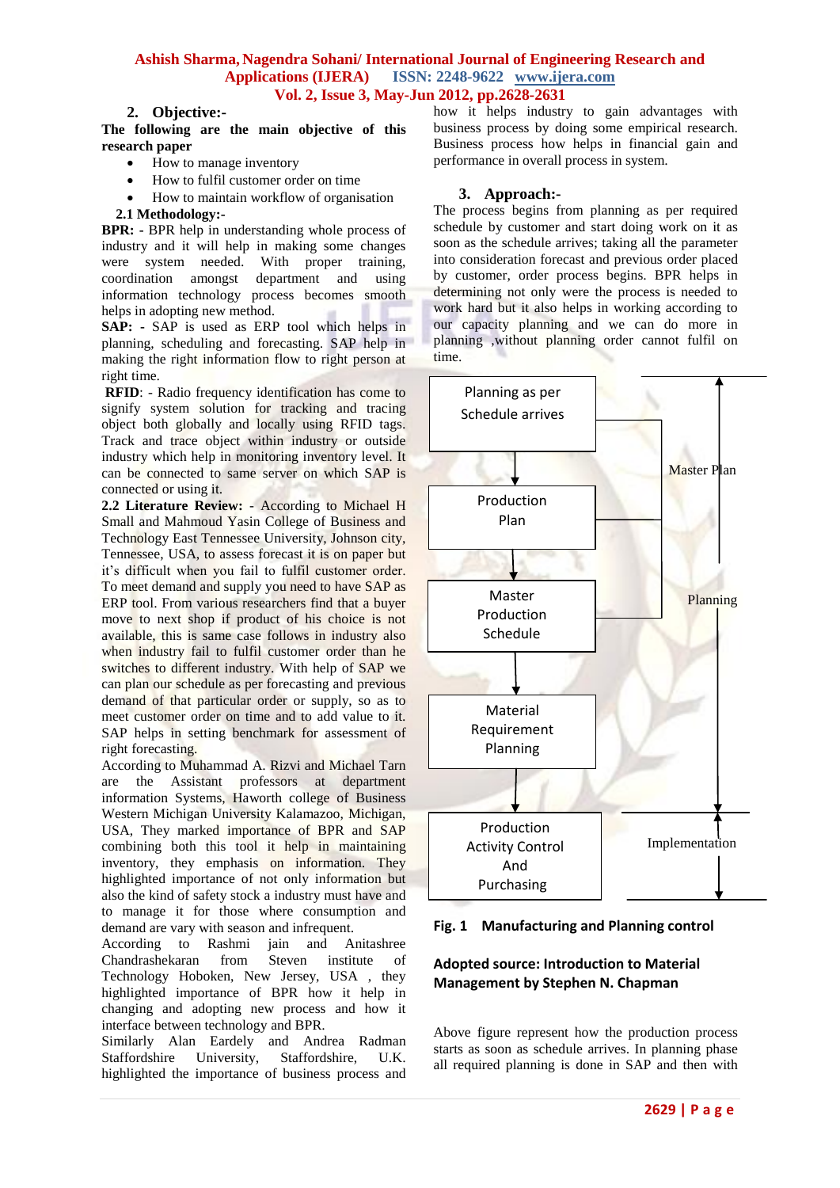# **Ashish Sharma, Nagendra Sohani/ International Journal of Engineering Research and Applications (IJERA) ISSN: 2248-9622 www.ijera.com Vol. 2, Issue 3, May-Jun 2012, pp.2628-2631**

# **2. Objective:-**

**The following are the main objective of this research paper**

- How to manage inventory
- How to fulfil customer order on time
- How to maintain workflow of organisation
- **2.1 Methodology:-**

**BPR: -** BPR help in understanding whole process of industry and it will help in making some changes were system needed. With proper training, coordination amongst department and using information technology process becomes smooth helps in adopting new method.

**SAP: -** SAP is used as ERP tool which helps in planning, scheduling and forecasting. SAP help in making the right information flow to right person at right time.

**RFID**: - Radio frequency identification has come to signify system solution for tracking and tracing object both globally and locally using RFID tags. Track and trace object within industry or outside industry which help in monitoring inventory level. It can be connected to same server on which SAP is connected or using it.

**2.2 Literature Review:** - According to Michael H Small and Mahmoud Yasin College of Business and Technology East Tennessee University, Johnson city, Tennessee, USA, to assess forecast it is on paper but it's difficult when you fail to fulfil customer order. To meet demand and supply you need to have SAP as ERP tool. From various researchers find that a buyer move to next shop if product of his choice is not available, this is same case follows in industry also when industry fail to fulfil customer order than he switches to different industry. With help of SAP we can plan our schedule as per forecasting and previous demand of that particular order or supply, so as to meet customer order on time and to add value to it. SAP helps in setting benchmark for assessment of right forecasting.

According to Muhammad A. Rizvi and Michael Tarn are the Assistant professors at department information Systems, Haworth college of Business Western Michigan University Kalamazoo, Michigan, USA, They marked importance of BPR and SAP combining both this tool it help in maintaining inventory, they emphasis on information. They highlighted importance of not only information but also the kind of safety stock a industry must have and to manage it for those where consumption and demand are vary with season and infrequent.

According to Rashmi jain and Anitashree<br>Chandrashekaran from Steven institute of Chandrashekaran from Steven institute of Technology Hoboken, New Jersey, USA , they highlighted importance of BPR how it help in changing and adopting new process and how it interface between technology and BPR.

Similarly Alan Eardely and Andrea Radman Staffordshire University, Staffordshire, U.K. highlighted the importance of business process and how it helps industry to gain advantages with business process by doing some empirical research. Business process how helps in financial gain and performance in overall process in system.

### **3. Approach:-**

The process begins from planning as per required schedule by customer and start doing work on it as soon as the schedule arrives; taking all the parameter into consideration forecast and previous order placed by customer, order process begins. BPR helps in determining not only were the process is needed to work hard but it also helps in working according to our capacity planning and we can do more in planning ,without planning order cannot fulfil on time.



**Fig. 1 Manufacturing and Planning control**

# **Adopted source: Introduction to Material Management by Stephen N. Chapman**

Above figure represent how the production process starts as soon as schedule arrives. In planning phase all required planning is done in SAP and then with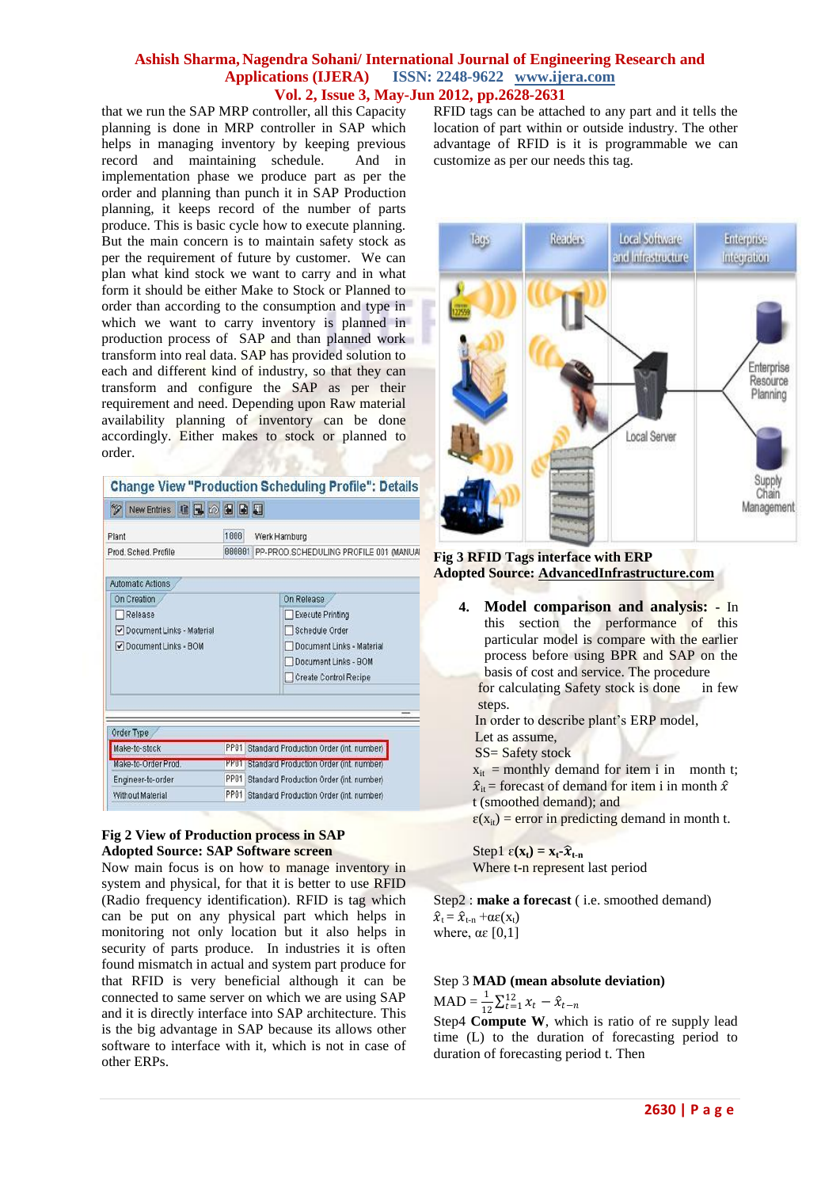### **Ashish Sharma, Nagendra Sohani/ International Journal of Engineering Research and Applications (IJERA) ISSN: 2248-9622 www.ijera.com Vol. 2, Issue 3, May-Jun 2012, pp.2628-2631**

that we run the SAP MRP controller, all this Capacity planning is done in MRP controller in SAP which helps in managing inventory by keeping previous record and maintaining schedule. And in implementation phase we produce part as per the order and planning than punch it in SAP Production planning, it keeps record of the number of parts produce. This is basic cycle how to execute planning. But the main concern is to maintain safety stock as per the requirement of future by customer. We can plan what kind stock we want to carry and in what form it should be either Make to Stock or Planned to order than according to the consumption and type in which we want to carry inventory is planned in production process of SAP and than planned work transform into real data. SAP has provided solution to each and different kind of industry, so that they can transform and configure the SAP as per their requirement and need. Depending upon Raw material availability planning of inventory can be done accordingly. Either makes to stock or planned to order.

| New Entries <b>B B B B E</b><br>$\mathscr{D}$ |             |                                               |
|-----------------------------------------------|-------------|-----------------------------------------------|
| Plant                                         | 1000        | Werk Hamburg                                  |
| Prod. Sched. Profile                          |             | 000001 PP-PROD.SCHEDULING PROFILE 001 (MANUAL |
| <b>Automatic Actions</b>                      |             |                                               |
| On Creation                                   |             | On Release                                    |
| Release                                       |             | Execute Printing                              |
| Occument Links - Material                     |             | Schedule Order                                |
| Occument Links - BOM                          |             | Document Links - Material                     |
|                                               |             | Document Links - BOM                          |
|                                               |             | Create Control Recipe                         |
| Order Type                                    |             |                                               |
| Make-to-stock                                 | <b>PP81</b> | Standard Production Order (int. number)       |
| Make-to-Order Prod.                           | <b>PPUT</b> | Standard Production Order (int. number)       |
| Engineer-to-order                             | PP81        | Standard Production Order (int. number)       |
|                                               |             |                                               |

### **Fig 2 View of Production process in SAP Adopted Source: SAP Software screen**

Now main focus is on how to manage inventory in system and physical, for that it is better to use RFID (Radio frequency identification). RFID is tag which can be put on any physical part which helps in monitoring not only location but it also helps in security of parts produce. In industries it is often found mismatch in actual and system part produce for that RFID is very beneficial although it can be connected to same server on which we are using SAP and it is directly interface into SAP architecture. This is the big advantage in SAP because its allows other software to interface with it, which is not in case of other ERPs.

RFID tags can be attached to any part and it tells the location of part within or outside industry. The other advantage of RFID is it is programmable we can customize as per our needs this tag.



### **Fig 3 RFID Tags interface with ERP Adopted Source[: AdvancedInfrastructure.com](http://www.advanced-infrastructure.com/)**

**4. Model comparison and analysis: -** In this section the performance of this particular model is compare with the earlier process before using BPR and SAP on the basis of cost and service. The procedure for calculating Safety stock is done in few steps.

In order to describe plant's ERP model, Let as assume,

SS= Safety stock

 $x_{it}$  = monthly demand for item i in month t;

 $\hat{x}_{it}$  = forecast of demand for item i in month  $\hat{x}$ 

t (smoothed demand); and

 $\varepsilon(x_{it})$  = error in predicting demand in month t.

Step1  $\varepsilon(\mathbf{x}_t) = \mathbf{x}_t - \hat{\mathbf{x}}_{t-n}$ Where t-n represent last period

Step2 : **make a forecast** ( i.e. smoothed demand)  $\hat{x}_t = \hat{x}_{t-n} + \alpha \varepsilon(x_t)$ where,  $\alpha \varepsilon$  [0,1]

# Step 3 **MAD (mean absolute deviation)**

 $\text{MAD} = \frac{1}{12} \sum_{t=1}^{12} x_t - \hat{x}_{t-n}$ 

Step4 **Compute W**, which is ratio of re supply lead time (L) to the duration of forecasting period to duration of forecasting period t. Then